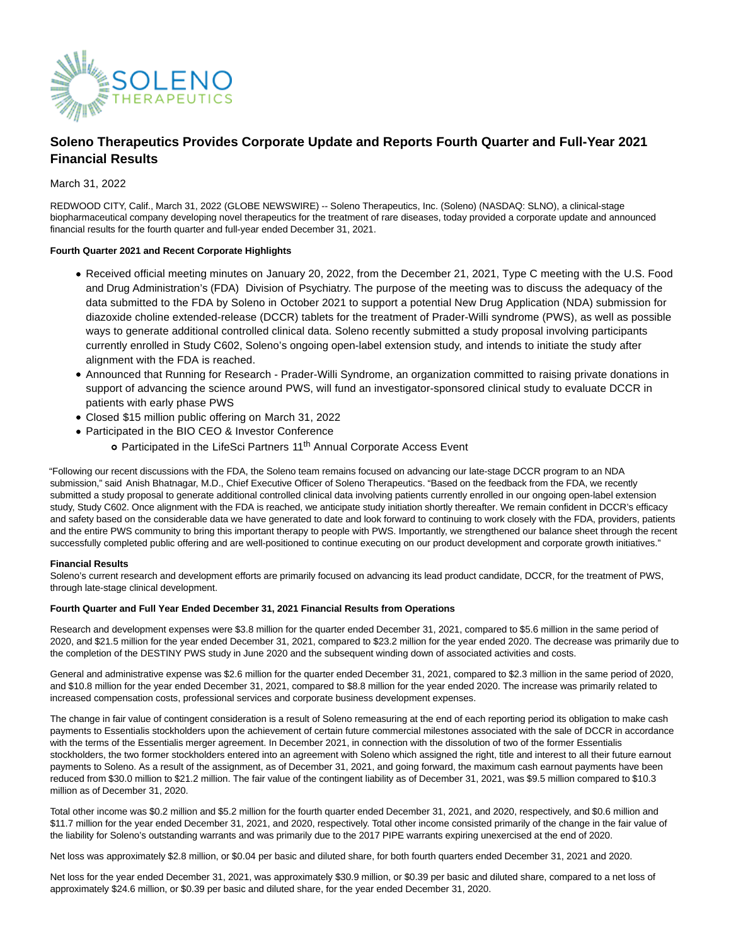

# **Soleno Therapeutics Provides Corporate Update and Reports Fourth Quarter and Full-Year 2021 Financial Results**

# March 31, 2022

REDWOOD CITY, Calif., March 31, 2022 (GLOBE NEWSWIRE) -- Soleno Therapeutics, Inc. (Soleno) (NASDAQ: SLNO), a clinical-stage biopharmaceutical company developing novel therapeutics for the treatment of rare diseases, today provided a corporate update and announced financial results for the fourth quarter and full-year ended December 31, 2021.

## **Fourth Quarter 2021 and Recent Corporate Highlights**

- Received official meeting minutes on January 20, 2022, from the December 21, 2021, Type C meeting with the U.S. Food and Drug Administration's (FDA) Division of Psychiatry. The purpose of the meeting was to discuss the adequacy of the data submitted to the FDA by Soleno in October 2021 to support a potential New Drug Application (NDA) submission for diazoxide choline extended-release (DCCR) tablets for the treatment of Prader-Willi syndrome (PWS), as well as possible ways to generate additional controlled clinical data. Soleno recently submitted a study proposal involving participants currently enrolled in Study C602, Soleno's ongoing open-label extension study, and intends to initiate the study after alignment with the FDA is reached.
- Announced that Running for Research Prader-Willi Syndrome, an organization committed to raising private donations in support of advancing the science around PWS, will fund an investigator-sponsored clinical study to evaluate DCCR in patients with early phase PWS
- Closed \$15 million public offering on March 31, 2022
- Participated in the BIO CEO & Investor Conference
	- o Participated in the LifeSci Partners 11<sup>th</sup> Annual Corporate Access Event

"Following our recent discussions with the FDA, the Soleno team remains focused on advancing our late-stage DCCR program to an NDA submission," said Anish Bhatnagar, M.D., Chief Executive Officer of Soleno Therapeutics. "Based on the feedback from the FDA, we recently submitted a study proposal to generate additional controlled clinical data involving patients currently enrolled in our ongoing open-label extension study, Study C602. Once alignment with the FDA is reached, we anticipate study initiation shortly thereafter. We remain confident in DCCR's efficacy and safety based on the considerable data we have generated to date and look forward to continuing to work closely with the FDA, providers, patients and the entire PWS community to bring this important therapy to people with PWS. Importantly, we strengthened our balance sheet through the recent successfully completed public offering and are well-positioned to continue executing on our product development and corporate growth initiatives."

## **Financial Results**

Soleno's current research and development efforts are primarily focused on advancing its lead product candidate, DCCR, for the treatment of PWS, through late-stage clinical development.

## **Fourth Quarter and Full Year Ended December 31, 2021 Financial Results from Operations**

Research and development expenses were \$3.8 million for the quarter ended December 31, 2021, compared to \$5.6 million in the same period of 2020, and \$21.5 million for the year ended December 31, 2021, compared to \$23.2 million for the year ended 2020. The decrease was primarily due to the completion of the DESTINY PWS study in June 2020 and the subsequent winding down of associated activities and costs.

General and administrative expense was \$2.6 million for the quarter ended December 31, 2021, compared to \$2.3 million in the same period of 2020, and \$10.8 million for the year ended December 31, 2021, compared to \$8.8 million for the year ended 2020. The increase was primarily related to increased compensation costs, professional services and corporate business development expenses.

The change in fair value of contingent consideration is a result of Soleno remeasuring at the end of each reporting period its obligation to make cash payments to Essentialis stockholders upon the achievement of certain future commercial milestones associated with the sale of DCCR in accordance with the terms of the Essentialis merger agreement. In December 2021, in connection with the dissolution of two of the former Essentialis stockholders, the two former stockholders entered into an agreement with Soleno which assigned the right, title and interest to all their future earnout payments to Soleno. As a result of the assignment, as of December 31, 2021, and going forward, the maximum cash earnout payments have been reduced from \$30.0 million to \$21.2 million. The fair value of the contingent liability as of December 31, 2021, was \$9.5 million compared to \$10.3 million as of December 31, 2020.

Total other income was \$0.2 million and \$5.2 million for the fourth quarter ended December 31, 2021, and 2020, respectively, and \$0.6 million and \$11.7 million for the year ended December 31, 2021, and 2020, respectively. Total other income consisted primarily of the change in the fair value of the liability for Soleno's outstanding warrants and was primarily due to the 2017 PIPE warrants expiring unexercised at the end of 2020.

Net loss was approximately \$2.8 million, or \$0.04 per basic and diluted share, for both fourth quarters ended December 31, 2021 and 2020.

Net loss for the year ended December 31, 2021, was approximately \$30.9 million, or \$0.39 per basic and diluted share, compared to a net loss of approximately \$24.6 million, or \$0.39 per basic and diluted share, for the year ended December 31, 2020.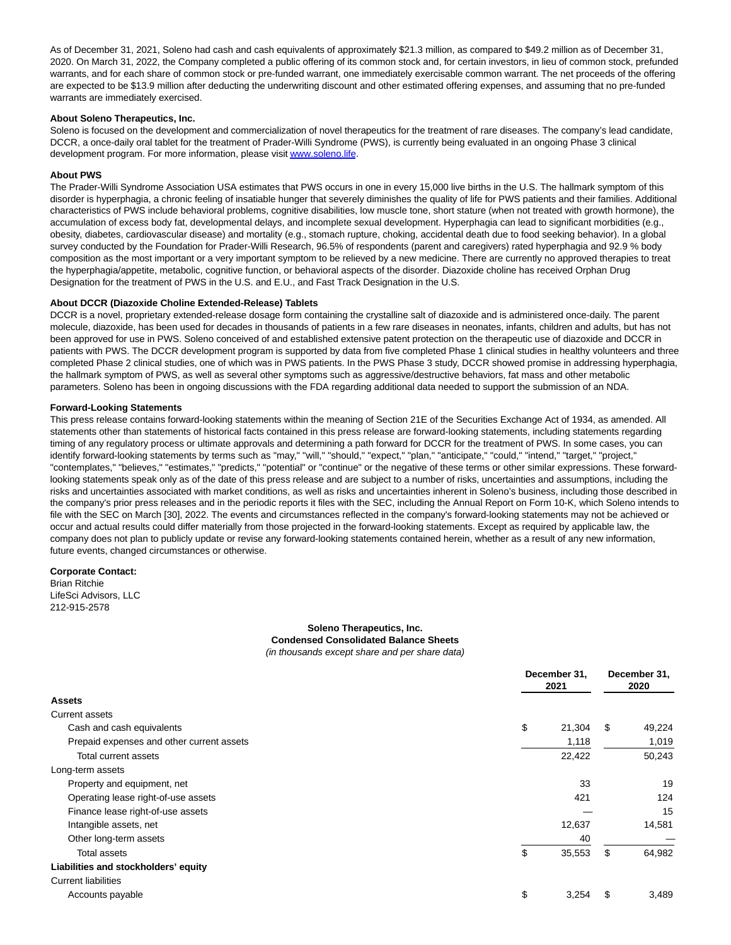As of December 31, 2021, Soleno had cash and cash equivalents of approximately \$21.3 million, as compared to \$49.2 million as of December 31, 2020. On March 31, 2022, the Company completed a public offering of its common stock and, for certain investors, in lieu of common stock, prefunded warrants, and for each share of common stock or pre-funded warrant, one immediately exercisable common warrant. The net proceeds of the offering are expected to be \$13.9 million after deducting the underwriting discount and other estimated offering expenses, and assuming that no pre-funded warrants are immediately exercised.

### **About Soleno Therapeutics, Inc.**

Soleno is focused on the development and commercialization of novel therapeutics for the treatment of rare diseases. The company's lead candidate, DCCR, a once-daily oral tablet for the treatment of Prader-Willi Syndrome (PWS), is currently being evaluated in an ongoing Phase 3 clinical development program. For more information, please visi[t www.soleno.life.](https://www.globenewswire.com/Tracker?data=N0YiHYWReCY8BT0rwtFFCYxrH6Ehu6GNhW-BEEenLJt_zsSNMjoUR8IolJzGUOpN_d4FWfaD7Vv_KqZgfKcoKg==)

# **About PWS**

The Prader-Willi Syndrome Association USA estimates that PWS occurs in one in every 15,000 live births in the U.S. The hallmark symptom of this disorder is hyperphagia, a chronic feeling of insatiable hunger that severely diminishes the quality of life for PWS patients and their families. Additional characteristics of PWS include behavioral problems, cognitive disabilities, low muscle tone, short stature (when not treated with growth hormone), the accumulation of excess body fat, developmental delays, and incomplete sexual development. Hyperphagia can lead to significant morbidities (e.g., obesity, diabetes, cardiovascular disease) and mortality (e.g., stomach rupture, choking, accidental death due to food seeking behavior). In a global survey conducted by the Foundation for Prader-Willi Research, 96.5% of respondents (parent and caregivers) rated hyperphagia and 92.9 % body composition as the most important or a very important symptom to be relieved by a new medicine. There are currently no approved therapies to treat the hyperphagia/appetite, metabolic, cognitive function, or behavioral aspects of the disorder. Diazoxide choline has received Orphan Drug Designation for the treatment of PWS in the U.S. and E.U., and Fast Track Designation in the U.S.

### **About DCCR (Diazoxide Choline Extended-Release) Tablets**

DCCR is a novel, proprietary extended-release dosage form containing the crystalline salt of diazoxide and is administered once-daily. The parent molecule, diazoxide, has been used for decades in thousands of patients in a few rare diseases in neonates, infants, children and adults, but has not been approved for use in PWS. Soleno conceived of and established extensive patent protection on the therapeutic use of diazoxide and DCCR in patients with PWS. The DCCR development program is supported by data from five completed Phase 1 clinical studies in healthy volunteers and three completed Phase 2 clinical studies, one of which was in PWS patients. In the PWS Phase 3 study, DCCR showed promise in addressing hyperphagia, the hallmark symptom of PWS, as well as several other symptoms such as aggressive/destructive behaviors, fat mass and other metabolic parameters. Soleno has been in ongoing discussions with the FDA regarding additional data needed to support the submission of an NDA.

### **Forward-Looking Statements**

This press release contains forward-looking statements within the meaning of Section 21E of the Securities Exchange Act of 1934, as amended. All statements other than statements of historical facts contained in this press release are forward-looking statements, including statements regarding timing of any regulatory process or ultimate approvals and determining a path forward for DCCR for the treatment of PWS. In some cases, you can identify forward-looking statements by terms such as "may," "will," "should," "expect," "plan," "anticipate," "could," "intend," "target," "project," "contemplates," "believes," "estimates," "predicts," "potential" or "continue" or the negative of these terms or other similar expressions. These forwardlooking statements speak only as of the date of this press release and are subject to a number of risks, uncertainties and assumptions, including the risks and uncertainties associated with market conditions, as well as risks and uncertainties inherent in Soleno's business, including those described in the company's prior press releases and in the periodic reports it files with the SEC, including the Annual Report on Form 10-K, which Soleno intends to file with the SEC on March [30], 2022. The events and circumstances reflected in the company's forward-looking statements may not be achieved or occur and actual results could differ materially from those projected in the forward-looking statements. Except as required by applicable law, the company does not plan to publicly update or revise any forward-looking statements contained herein, whether as a result of any new information, future events, changed circumstances or otherwise.

### **Corporate Contact:**

Brian Ritchie LifeSci Advisors, LLC 212-915-2578

### **Soleno Therapeutics, Inc. Condensed Consolidated Balance Sheets** (in thousands except share and per share data)

|                                           | December 31,<br>2021 |        | December 31,<br>2020 |        |
|-------------------------------------------|----------------------|--------|----------------------|--------|
| <b>Assets</b>                             |                      |        |                      |        |
| Current assets                            |                      |        |                      |        |
| Cash and cash equivalents                 | \$                   | 21,304 | - \$                 | 49,224 |
| Prepaid expenses and other current assets |                      | 1,118  |                      | 1,019  |
| Total current assets                      |                      | 22,422 |                      | 50,243 |
| Long-term assets                          |                      |        |                      |        |
| Property and equipment, net               |                      | 33     |                      | 19     |
| Operating lease right-of-use assets       |                      | 421    |                      | 124    |
| Finance lease right-of-use assets         |                      |        |                      | 15     |
| Intangible assets, net                    |                      | 12,637 |                      | 14,581 |
| Other long-term assets                    |                      | 40     |                      |        |
| Total assets                              | \$                   | 35,553 | \$                   | 64,982 |
| Liabilities and stockholders' equity      |                      |        |                      |        |
| <b>Current liabilities</b>                |                      |        |                      |        |
| Accounts payable                          | \$                   | 3,254  | S                    | 3,489  |